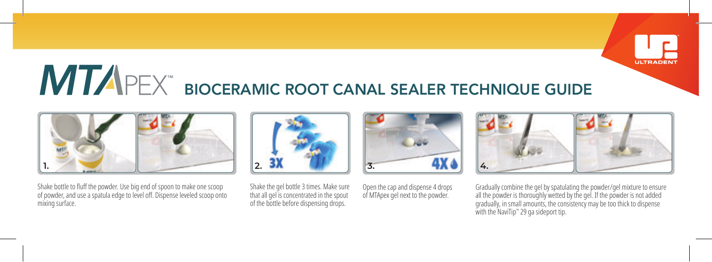

## **MTAPEX** BIOCERAMIC ROOT CANAL SEALER TECHNIQUE GUIDE



Shake bottle to fluff the powder. Use big end of spoon to make one scoop of powder, and use a spatula edge to level off. Dispense leveled scoop onto mixing surface.



Shake the gel bottle 3 times. Make sure that all gel is concentrated in the spout of the bottle before dispensing drops.

Open the cap and dispense 4 drops of MTApex gel next to the powder.



Gradually combine the gel by spatulating the powder/gel mixture to ensure all the powder is thoroughly wetted by the gel. If the powder is not added gradually, in small amounts, the consistency may be too thick to dispense with the NaviTip™ 29 ga sideport tip.